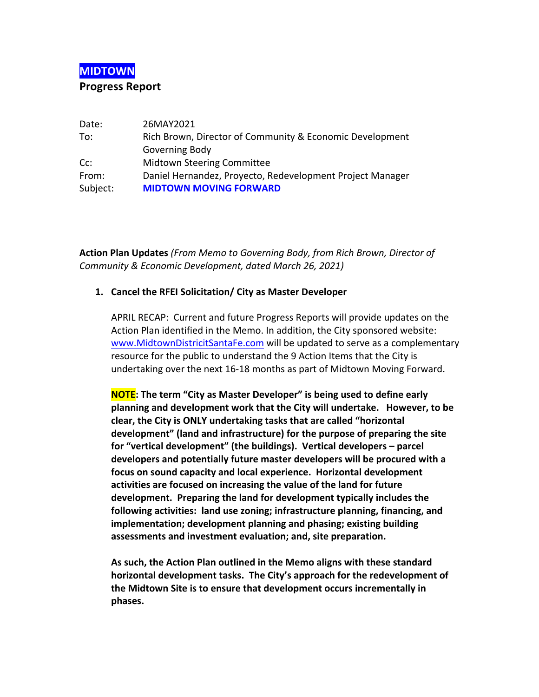# **MIDTOWN**

#### **Progress Report**

| Date:    | 26MAY2021                                                 |  |
|----------|-----------------------------------------------------------|--|
| To:      | Rich Brown, Director of Community & Economic Development  |  |
|          | Governing Body                                            |  |
| $Cc$ :   | <b>Midtown Steering Committee</b>                         |  |
| From:    | Daniel Hernandez, Proyecto, Redevelopment Project Manager |  |
| Subject: | <b>MIDTOWN MOVING FORWARD</b>                             |  |

**Action Plan Updates** *(From Memo to Governing Body, from Rich Brown, Director of Community & Economic Development, dated March 26, 2021)*

#### 1. Cancel the RFEI Solicitation/ City as Master Developer

APRIL RECAP: Current and future Progress Reports will provide updates on the Action Plan identified in the Memo. In addition, the City sponsored website: www.MidtownDistricitSantaFe.com will be updated to serve as a complementary resource for the public to understand the 9 Action Items that the City is undertaking over the next 16-18 months as part of Midtown Moving Forward.

**NOTE:** The term "City as Master Developer" is being used to define early **planning** and development work that the City will undertake. However, to be clear, the City is ONLY undertaking tasks that are called "horizontal **development" (land and infrastructure) for the purpose of preparing the site** for "vertical development" (the buildings). Vertical developers – parcel developers and potentially future master developers will be procured with a focus on sound capacity and local experience. Horizontal development activities are focused on increasing the value of the land for future development. Preparing the land for development typically includes the following activities: land use zoning; infrastructure planning, financing, and **implementation; development planning and phasing; existing building assessments and investment evaluation; and, site preparation.**

As such, the Action Plan outlined in the Memo aligns with these standard horizontal development tasks. The City's approach for the redevelopment of the Midtown Site is to ensure that development occurs incrementally in **phases.**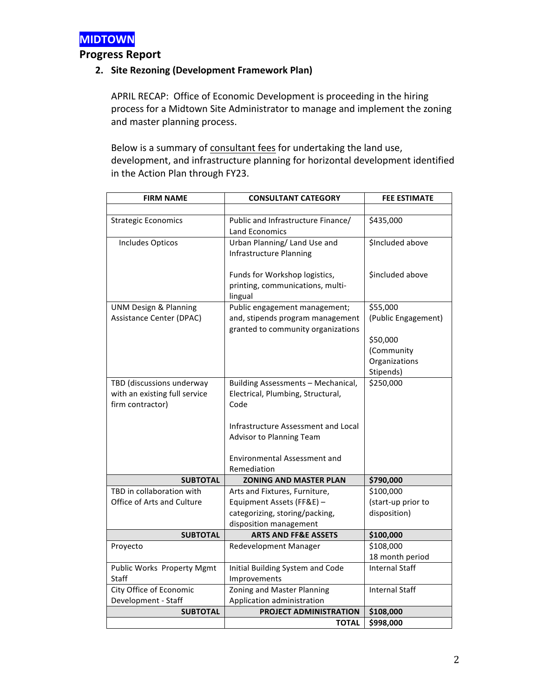

**Progress Report**

## 2. Site Rezoning (Development Framework Plan)

APRIL RECAP: Office of Economic Development is proceeding in the hiring process for a Midtown Site Administrator to manage and implement the zoning and master planning process.

Below is a summary of consultant fees for undertaking the land use, development, and infrastructure planning for horizontal development identified in the Action Plan through FY23.

| <b>FIRM NAME</b>                  | <b>CONSULTANT CATEGORY</b>                                             | <b>FEE ESTIMATE</b>   |
|-----------------------------------|------------------------------------------------------------------------|-----------------------|
|                                   |                                                                        |                       |
| <b>Strategic Economics</b>        | Public and Infrastructure Finance/                                     | \$435,000             |
|                                   | Land Economics                                                         |                       |
| Includes Opticos                  | Urban Planning/ Land Use and                                           | \$Included above      |
|                                   | Infrastructure Planning                                                |                       |
|                                   |                                                                        |                       |
|                                   | Funds for Workshop logistics,                                          | Sincluded above       |
|                                   | printing, communications, multi-                                       |                       |
|                                   | lingual                                                                |                       |
| <b>UNM Design &amp; Planning</b>  | Public engagement management;                                          | \$55,000              |
| Assistance Center (DPAC)          | and, stipends program management<br>granted to community organizations | (Public Engagement)   |
|                                   |                                                                        | \$50,000              |
|                                   |                                                                        | (Community            |
|                                   |                                                                        | Organizations         |
|                                   |                                                                        | Stipends)             |
| TBD (discussions underway         | Building Assessments - Mechanical,                                     | \$250,000             |
| with an existing full service     | Electrical, Plumbing, Structural,                                      |                       |
| firm contractor)                  | Code                                                                   |                       |
|                                   |                                                                        |                       |
|                                   | Infrastructure Assessment and Local                                    |                       |
|                                   | <b>Advisor to Planning Team</b>                                        |                       |
|                                   |                                                                        |                       |
|                                   | Environmental Assessment and                                           |                       |
|                                   | Remediation                                                            |                       |
| <b>SUBTOTAL</b>                   | <b>ZONING AND MASTER PLAN</b>                                          | \$790,000             |
| TBD in collaboration with         | Arts and Fixtures, Furniture,                                          | \$100,000             |
| <b>Office of Arts and Culture</b> | Equipment Assets (FF&E) -                                              | (start-up prior to    |
|                                   | categorizing, storing/packing,<br>disposition management               | disposition)          |
| <b>SUBTOTAL</b>                   | <b>ARTS AND FF&amp;E ASSETS</b>                                        | \$100,000             |
| Proyecto                          | <b>Redevelopment Manager</b>                                           | \$108,000             |
|                                   |                                                                        | 18 month period       |
| Public Works Property Mgmt        | Initial Building System and Code                                       | <b>Internal Staff</b> |
| <b>Staff</b>                      | Improvements                                                           |                       |
| City Office of Economic           | Zoning and Master Planning                                             | <b>Internal Staff</b> |
| Development - Staff               | Application administration                                             |                       |
| <b>SUBTOTAL</b>                   | PROJECT ADMINISTRATION                                                 | \$108,000             |
|                                   | <b>TOTAL</b>                                                           | \$998,000             |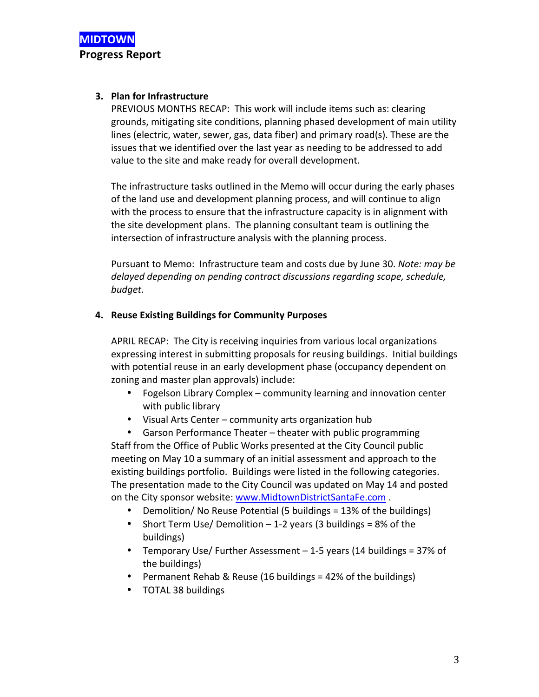## **3. Plan for Infrastructure**

PREVIOUS MONTHS RECAP: This work will include items such as: clearing grounds, mitigating site conditions, planning phased development of main utility lines (electric, water, sewer, gas, data fiber) and primary road(s). These are the issues that we identified over the last year as needing to be addressed to add value to the site and make ready for overall development.

The infrastructure tasks outlined in the Memo will occur during the early phases of the land use and development planning process, and will continue to align with the process to ensure that the infrastructure capacity is in alignment with the site development plans. The planning consultant team is outlining the intersection of infrastructure analysis with the planning process.

Pursuant to Memo: Infrastructure team and costs due by June 30. *Note: may be* delayed depending on pending contract discussions regarding scope, schedule, *budget.*

## **4.** Reuse Existing Buildings for Community Purposes

APRIL RECAP: The City is receiving inquiries from various local organizations expressing interest in submitting proposals for reusing buildings. Initial buildings with potential reuse in an early development phase (occupancy dependent on zoning and master plan approvals) include:

- Fogelson Library Complex community learning and innovation center with public library
- Visual Arts Center community arts organization hub
- Garson Performance Theater theater with public programming Staff from the Office of Public Works presented at the City Council public meeting on May 10 a summary of an initial assessment and approach to the existing buildings portfolio. Buildings were listed in the following categories. The presentation made to the City Council was updated on May 14 and posted on the City sponsor website: www.MidtownDistrictSantaFe.com.
	- Demolition/ No Reuse Potential (5 buildings = 13% of the buildings)
	- Short Term Use/ Demolition  $-1$ -2 years (3 buildings = 8% of the buildings)
	- Temporary Use/ Further Assessment  $-1$ -5 years (14 buildings = 37% of the buildings)
	- Permanent Rehab & Reuse (16 buildings =  $42\%$  of the buildings)
	- TOTAL 38 buildings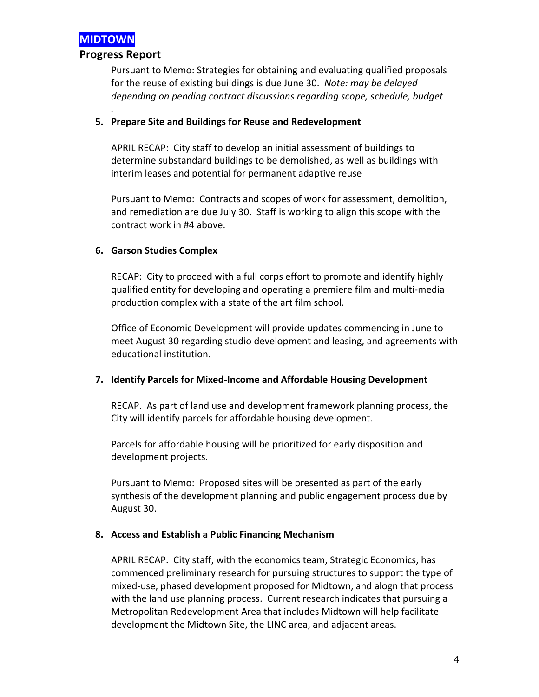

## **Progress Report**

*.*

Pursuant to Memo: Strategies for obtaining and evaluating qualified proposals for the reuse of existing buildings is due June 30. Note: may be delayed depending on pending contract discussions regarding scope, schedule, budget

#### **5. Prepare Site and Buildings for Reuse and Redevelopment**

APRIL RECAP: City staff to develop an initial assessment of buildings to determine substandard buildings to be demolished, as well as buildings with interim leases and potential for permanent adaptive reuse

Pursuant to Memo: Contracts and scopes of work for assessment, demolition, and remediation are due July 30. Staff is working to align this scope with the contract work in #4 above.

#### **6. Garson Studies Complex**

RECAP: City to proceed with a full corps effort to promote and identify highly qualified entity for developing and operating a premiere film and multi-media production complex with a state of the art film school.

Office of Economic Development will provide updates commencing in June to meet August 30 regarding studio development and leasing, and agreements with educational institution.

#### **7.** Identify Parcels for Mixed-Income and Affordable Housing Development

RECAP. As part of land use and development framework planning process, the City will identify parcels for affordable housing development.

Parcels for affordable housing will be prioritized for early disposition and development projects.

Pursuant to Memo: Proposed sites will be presented as part of the early synthesis of the development planning and public engagement process due by August 30.

## **8. Access and Establish a Public Financing Mechanism**

APRIL RECAP. City staff, with the economics team, Strategic Economics, has commenced preliminary research for pursuing structures to support the type of mixed-use, phased development proposed for Midtown, and alogn that process with the land use planning process. Current research indicates that pursuing a Metropolitan Redevelopment Area that includes Midtown will help facilitate development the Midtown Site, the LINC area, and adjacent areas.